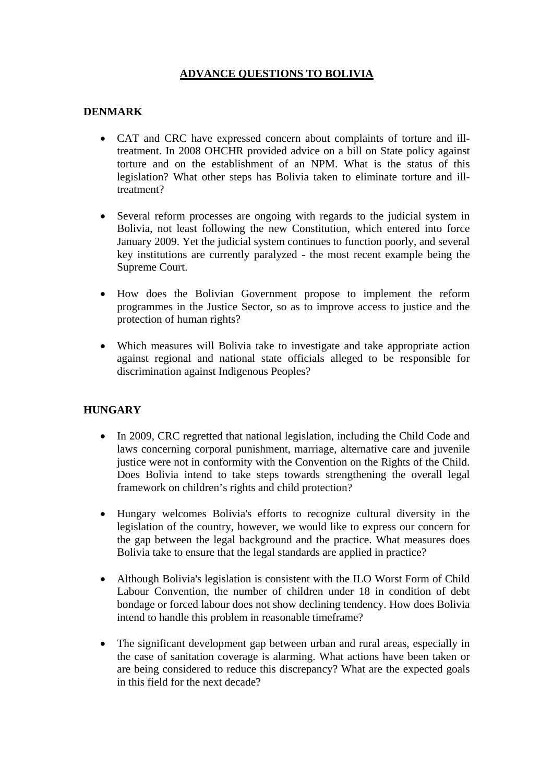## **ADVANCE QUESTIONS TO BOLIVIA**

### **DENMARK**

- CAT and CRC have expressed concern about complaints of torture and illtreatment. In 2008 OHCHR provided advice on a bill on State policy against torture and on the establishment of an NPM. What is the status of this legislation? What other steps has Bolivia taken to eliminate torture and illtreatment?
- Several reform processes are ongoing with regards to the judicial system in Bolivia, not least following the new Constitution, which entered into force January 2009. Yet the judicial system continues to function poorly, and several key institutions are currently paralyzed - the most recent example being the Supreme Court.
- How does the Bolivian Government propose to implement the reform programmes in the Justice Sector, so as to improve access to justice and the protection of human rights?
- Which measures will Bolivia take to investigate and take appropriate action against regional and national state officials alleged to be responsible for discrimination against Indigenous Peoples?

### **HUNGARY**

- In 2009, CRC regretted that national legislation, including the Child Code and laws concerning corporal punishment, marriage, alternative care and juvenile justice were not in conformity with the Convention on the Rights of the Child. Does Bolivia intend to take steps towards strengthening the overall legal framework on children's rights and child protection?
- Hungary welcomes Bolivia's efforts to recognize cultural diversity in the legislation of the country, however, we would like to express our concern for the gap between the legal background and the practice. What measures does Bolivia take to ensure that the legal standards are applied in practice?
- Although Bolivia's legislation is consistent with the ILO Worst Form of Child Labour Convention, the number of children under 18 in condition of debt bondage or forced labour does not show declining tendency. How does Bolivia intend to handle this problem in reasonable timeframe?
- The significant development gap between urban and rural areas, especially in the case of sanitation coverage is alarming. What actions have been taken or are being considered to reduce this discrepancy? What are the expected goals in this field for the next decade?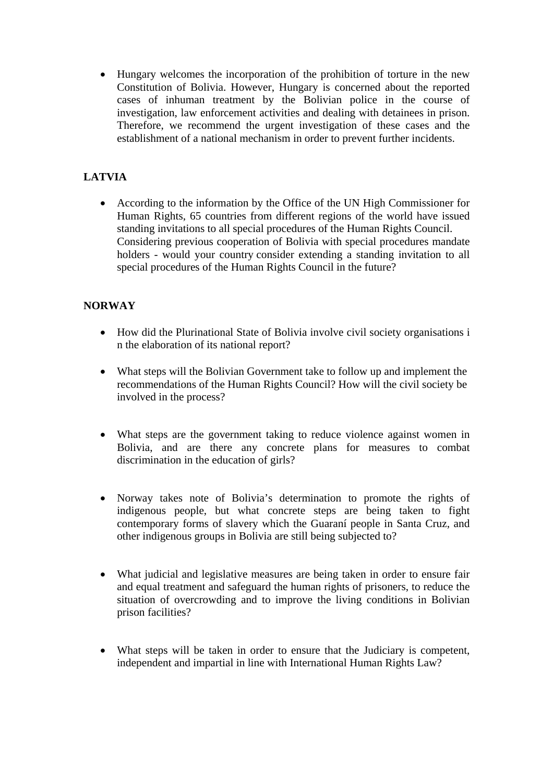• Hungary welcomes the incorporation of the prohibition of torture in the new Constitution of Bolivia. However, Hungary is concerned about the reported cases of inhuman treatment by the Bolivian police in the course of investigation, law enforcement activities and dealing with detainees in prison. Therefore, we recommend the urgent investigation of these cases and the establishment of a national mechanism in order to prevent further incidents.

# **LATVIA**

• According to the information by the Office of the UN High Commissioner for Human Rights, 65 countries from different regions of the world have issued standing invitations to all special procedures of the Human Rights Council. Considering previous cooperation of Bolivia with special procedures mandate holders - would your country consider extending a standing invitation to all special procedures of the Human Rights Council in the future?

## **NORWAY**

- How did the Plurinational State of Bolivia involve civil society organisations i n the elaboration of its national report?
- What steps will the Bolivian Government take to follow up and implement the recommendations of the Human Rights Council? How will the civil society be involved in the process?
- What steps are the government taking to reduce violence against women in Bolivia, and are there any concrete plans for measures to combat discrimination in the education of girls?
- Norway takes note of Bolivia's determination to promote the rights of indigenous people, but what concrete steps are being taken to fight contemporary forms of slavery which the Guaraní people in Santa Cruz, and other indigenous groups in Bolivia are still being subjected to?
- What judicial and legislative measures are being taken in order to ensure fair and equal treatment and safeguard the human rights of prisoners, to reduce the situation of overcrowding and to improve the living conditions in Bolivian prison facilities?
- What steps will be taken in order to ensure that the Judiciary is competent, independent and impartial in line with International Human Rights Law?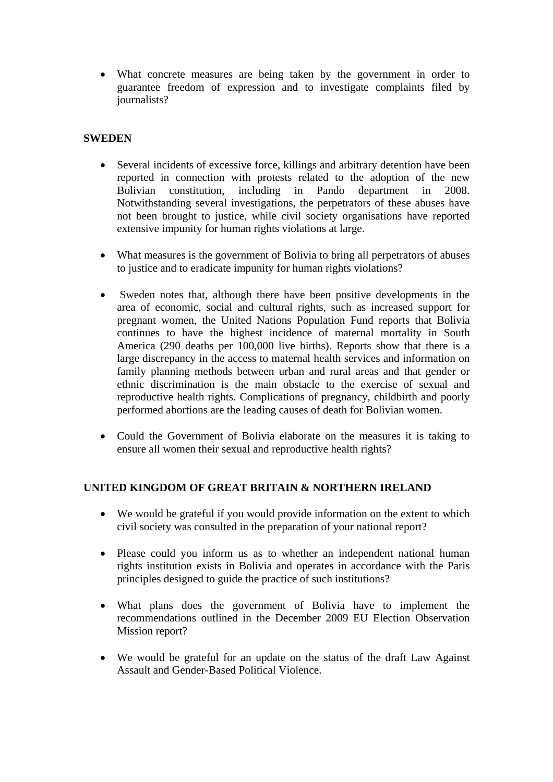• What concrete measures are being taken by the government in order to guarantee freedom of expression and to investigate complaints filed by journalists?

### **SWEDEN**

- Several incidents of excessive force, killings and arbitrary detention have been reported in connection with protests related to the adoption of the new Bolivian constitution, including in Pando department in 2008. Bolivian constitution, including in Pando department in 2008. Notwithstanding several investigations, the perpetrators of these abuses have not been brought to justice, while civil society organisations have reported extensive impunity for human rights violations at large.
- What measures is the government of Bolivia to bring all perpetrators of abuses to justice and to eradicate impunity for human rights violations?
- Sweden notes that, although there have been positive developments in the area of economic, social and cultural rights, such as increased support for pregnant women, the United Nations Population Fund reports that Bolivia continues to have the highest incidence of maternal mortality in South America (290 deaths per 100,000 live births). Reports show that there is a large discrepancy in the access to maternal health services and information on family planning methods between urban and rural areas and that gender or ethnic discrimination is the main obstacle to the exercise of sexual and reproductive health rights. Complications of pregnancy, childbirth and poorly performed abortions are the leading causes of death for Bolivian women.
- Could the Government of Bolivia elaborate on the measures it is taking to ensure all women their sexual and reproductive health rights?

### **UNITED KINGDOM OF GREAT BRITAIN & NORTHERN IRELAND**

- We would be grateful if you would provide information on the extent to which civil society was consulted in the preparation of your national report?
- Please could you inform us as to whether an independent national human rights institution exists in Bolivia and operates in accordance with the Paris principles designed to guide the practice of such institutions?
- What plans does the government of Bolivia have to implement the recommendations outlined in the December 2009 EU Election Observation Mission report?
- We would be grateful for an update on the status of the draft Law Against Assault and Gender-Based Political Violence.